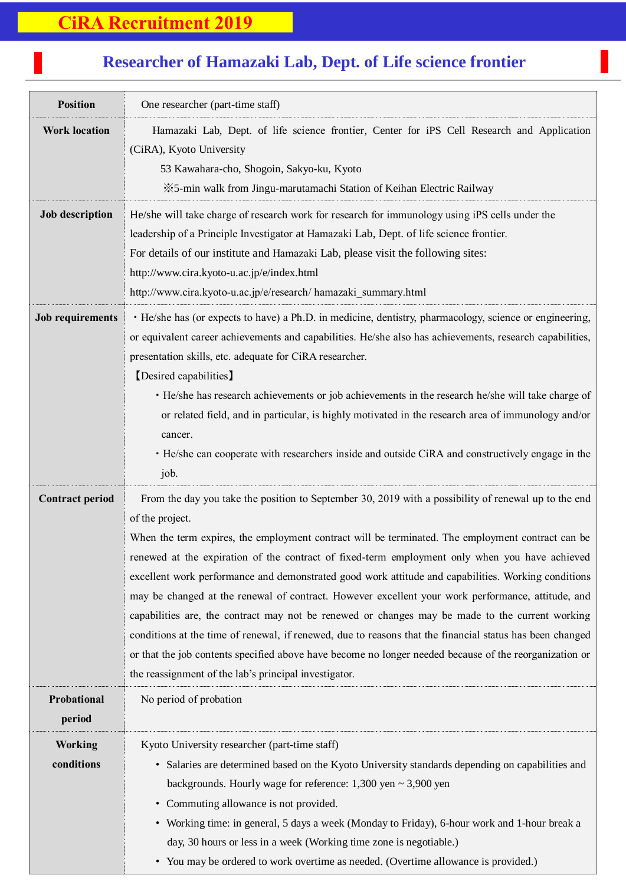## **Researcher of Hamazaki Lab, Dept. of Life science frontier**

7<br>7<br>7

| <b>Position</b>              | One researcher (part-time staff)                                                                                                                                                                                                                                                                                                                                                                                                                                                                                                                                                                                                                                                                                                                                                                                                                                                                                             |
|------------------------------|------------------------------------------------------------------------------------------------------------------------------------------------------------------------------------------------------------------------------------------------------------------------------------------------------------------------------------------------------------------------------------------------------------------------------------------------------------------------------------------------------------------------------------------------------------------------------------------------------------------------------------------------------------------------------------------------------------------------------------------------------------------------------------------------------------------------------------------------------------------------------------------------------------------------------|
| <b>Work location</b>         | Hamazaki Lab, Dept. of life science frontier, Center for iPS Cell Research and Application<br>(CiRA), Kyoto University<br>53 Kawahara-cho, Shogoin, Sakyo-ku, Kyoto<br>*5-min walk from Jingu-marutamachi Station of Keihan Electric Railway                                                                                                                                                                                                                                                                                                                                                                                                                                                                                                                                                                                                                                                                                 |
| <b>Job description</b>       | He/she will take charge of research work for research for immunology using iPS cells under the<br>leadership of a Principle Investigator at Hamazaki Lab, Dept. of life science frontier.<br>For details of our institute and Hamazaki Lab, please visit the following sites:<br>http://www.cira.kyoto-u.ac.jp/e/index.html<br>http://www.cira.kyoto-u.ac.jp/e/research/ hamazaki_summary.html                                                                                                                                                                                                                                                                                                                                                                                                                                                                                                                               |
| <b>Job requirements</b>      | · He/she has (or expects to have) a Ph.D. in medicine, dentistry, pharmacology, science or engineering,<br>or equivalent career achievements and capabilities. He/she also has achievements, research capabilities,<br>presentation skills, etc. adequate for CiRA researcher.<br>[Desired capabilities]<br>· He/she has research achievements or job achievements in the research he/she will take charge of<br>or related field, and in particular, is highly motivated in the research area of immunology and/or<br>cancer.<br>• He/she can cooperate with researchers inside and outside CiRA and constructively engage in the<br>job.                                                                                                                                                                                                                                                                                   |
| <b>Contract period</b>       | From the day you take the position to September 30, 2019 with a possibility of renewal up to the end<br>of the project.<br>When the term expires, the employment contract will be terminated. The employment contract can be<br>renewed at the expiration of the contract of fixed-term employment only when you have achieved<br>excellent work performance and demonstrated good work attitude and capabilities. Working conditions<br>may be changed at the renewal of contract. However excellent your work performance, attitude, and<br>capabilities are, the contract may not be renewed or changes may be made to the current working<br>conditions at the time of renewal, if renewed, due to reasons that the financial status has been changed<br>or that the job contents specified above have become no longer needed because of the reorganization or<br>the reassignment of the lab's principal investigator. |
| Probational<br>period        | No period of probation                                                                                                                                                                                                                                                                                                                                                                                                                                                                                                                                                                                                                                                                                                                                                                                                                                                                                                       |
| <b>Working</b><br>conditions | Kyoto University researcher (part-time staff)<br>• Salaries are determined based on the Kyoto University standards depending on capabilities and<br>backgrounds. Hourly wage for reference: $1,300$ yen $\sim 3,900$ yen<br>• Commuting allowance is not provided.<br>• Working time: in general, 5 days a week (Monday to Friday), 6-hour work and 1-hour break a<br>day, 30 hours or less in a week (Working time zone is negotiable.)<br>• You may be ordered to work overtime as needed. (Overtime allowance is provided.)                                                                                                                                                                                                                                                                                                                                                                                               |